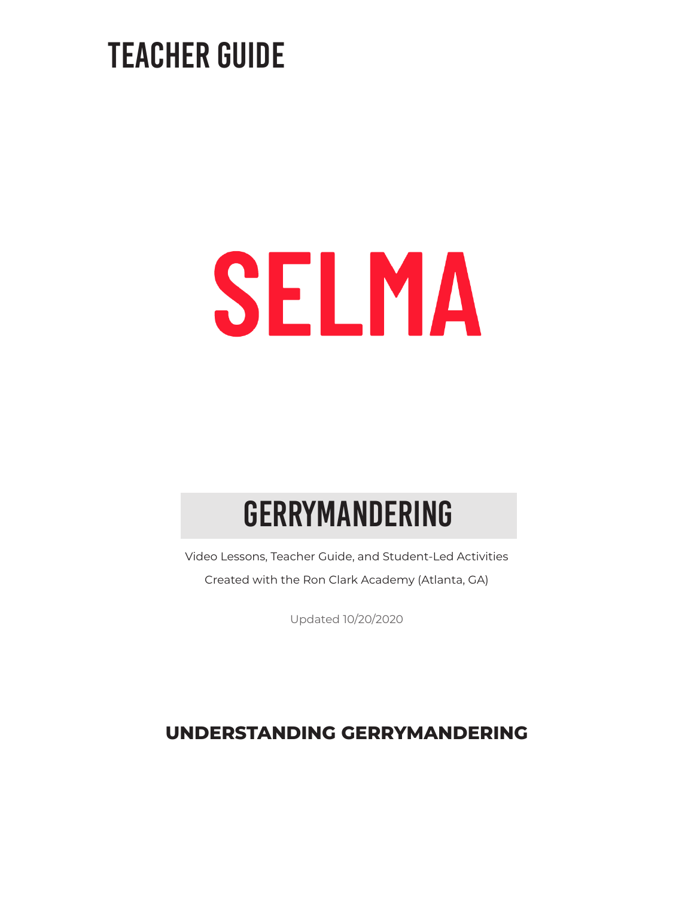### TEACHER GUIDE

# SELMA

### Gerrymandering

Video Lessons, Teacher Guide, and Student-Led Activities Created with the Ron Clark Academy (Atlanta, GA)

Updated 10/20/2020

### **UNDERSTANDING GERRYMANDERING**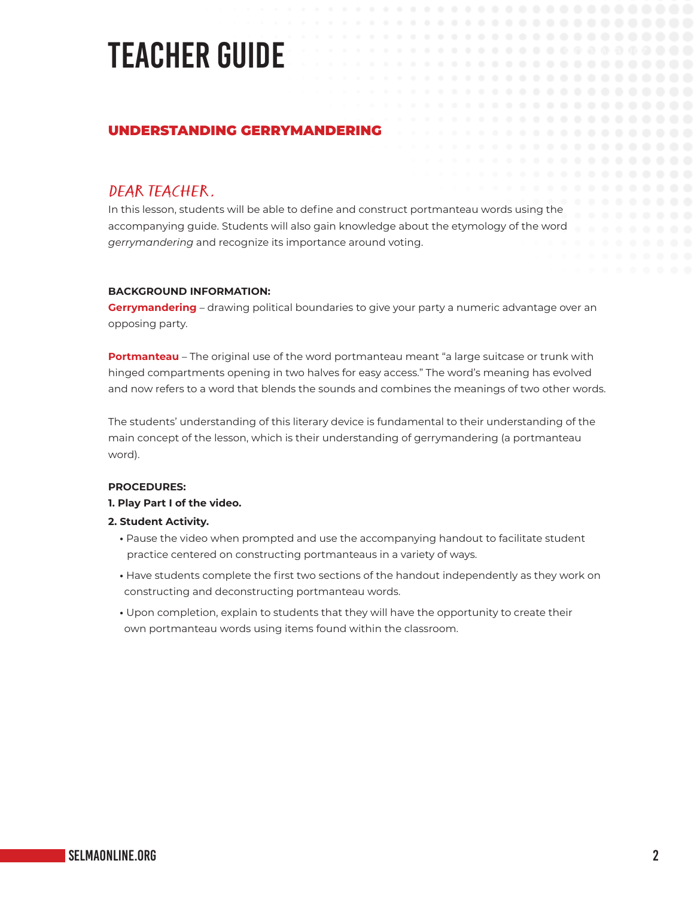# TEACHER GUIDE

#### UNDERSTANDING GERRYMANDERING

**DEAR TEACHER,**<br>In this lesson, students will be able to define and construct portmanteau words using the accompanying guide. Students will also gain knowledge about the etymology of the word *gerrymandering* and recognize its importance around voting.

#### **BACKGROUND INFORMATION:**

**Gerrymandering** – drawing political boundaries to give your party a numeric advantage over an opposing party.

**Portmanteau** – The original use of the word portmanteau meant "a large suitcase or trunk with hinged compartments opening in two halves for easy access." The word's meaning has evolved and now refers to a word that blends the sounds and combines the meanings of two other words.

The students' understanding of this literary device is fundamental to their understanding of the main concept of the lesson, which is their understanding of gerrymandering (a portmanteau word).

#### **PROCEDURES:**

#### **1. Play Part I of the video.**

#### **2. Student Activity.**

- **•** Pause the video when prompted and use the accompanying handout to facilitate student practice centered on constructing portmanteaus in a variety of ways.
- **•** Have students complete the first two sections of the handout independently as they work on constructing and deconstructing portmanteau words.
- **•** Upon completion, explain to students that they will have the opportunity to create their own portmanteau words using items found within the classroom.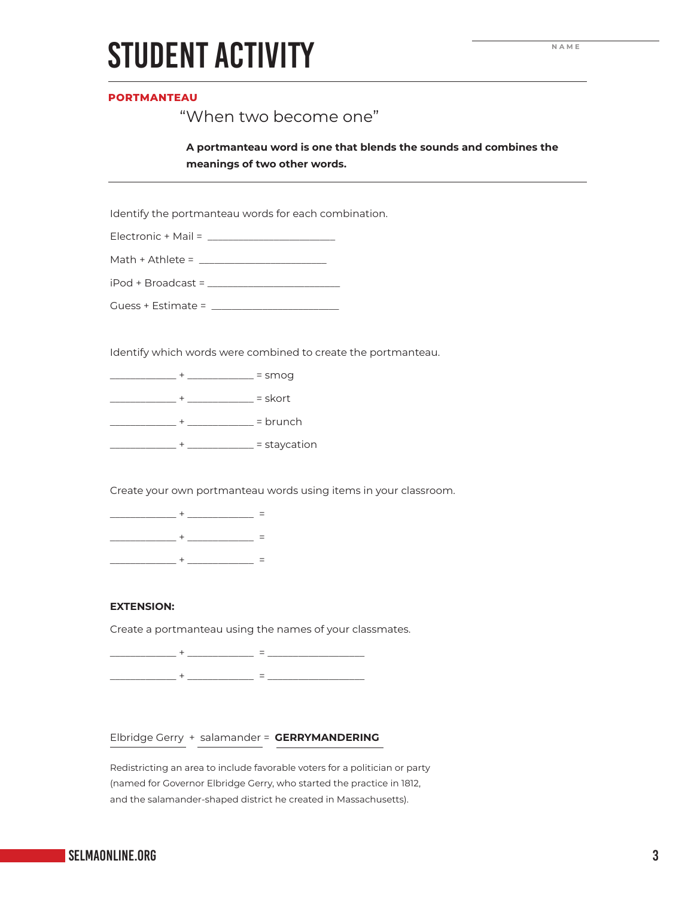### STUDENT ACTIVITY

#### **PORTMANTEAU**

#### "When two become one"

**A portmanteau word is one that blends the sounds and combines the meanings of two other words.**

Identify the portmanteau words for each combination.

| Electronic + Mail |  |
|-------------------|--|
|                   |  |

| Math $+$ Athlete = |  |
|--------------------|--|
|--------------------|--|

| iPod + Broadcast = |  |
|--------------------|--|
|                    |  |

Guess + Estimate = \_\_\_\_\_\_\_\_\_\_\_\_\_\_\_\_\_\_\_\_\_\_\_\_\_

Identify which words were combined to create the portmanteau.

\_\_\_\_\_\_\_\_\_\_\_\_\_ + \_\_\_\_\_\_\_\_\_\_\_\_\_ = smog

\_\_\_\_\_\_\_\_\_\_\_\_\_ + \_\_\_\_\_\_\_\_\_\_\_\_\_ = skort

\_\_\_\_\_\_\_\_\_\_\_\_\_ + \_\_\_\_\_\_\_\_\_\_\_\_\_ = brunch

\_\_\_\_\_\_\_\_\_\_\_\_\_ + \_\_\_\_\_\_\_\_\_\_\_\_\_ = staycation

Create your own portmanteau words using items in your classroom.

\_\_\_\_\_\_\_\_\_\_\_\_\_ + \_\_\_\_\_\_\_\_\_\_\_\_\_ = \_\_\_\_\_\_\_\_\_\_\_\_\_ + \_\_\_\_\_\_\_\_\_\_\_\_\_ = \_\_\_\_\_\_\_\_\_\_\_\_\_ + \_\_\_\_\_\_\_\_\_\_\_\_\_ =

#### **EXTENSION:**

Create a portmanteau using the names of your classmates.

\_\_\_\_\_\_\_\_\_\_\_\_\_ + \_\_\_\_\_\_\_\_\_\_\_\_\_ = \_\_\_\_\_\_\_\_\_\_\_\_\_\_\_\_\_\_\_ \_\_\_\_\_\_\_\_\_\_\_\_\_ + \_\_\_\_\_\_\_\_\_\_\_\_\_ = \_\_\_\_\_\_\_\_\_\_\_\_\_\_\_\_\_\_\_

#### Elbridge Gerry + salamander = **GERRYMANDERING**

Redistricting an area to include favorable voters for a politician or party (named for Governor Elbridge Gerry, who started the practice in 1812, and the salamander-shaped district he created in Massachusetts).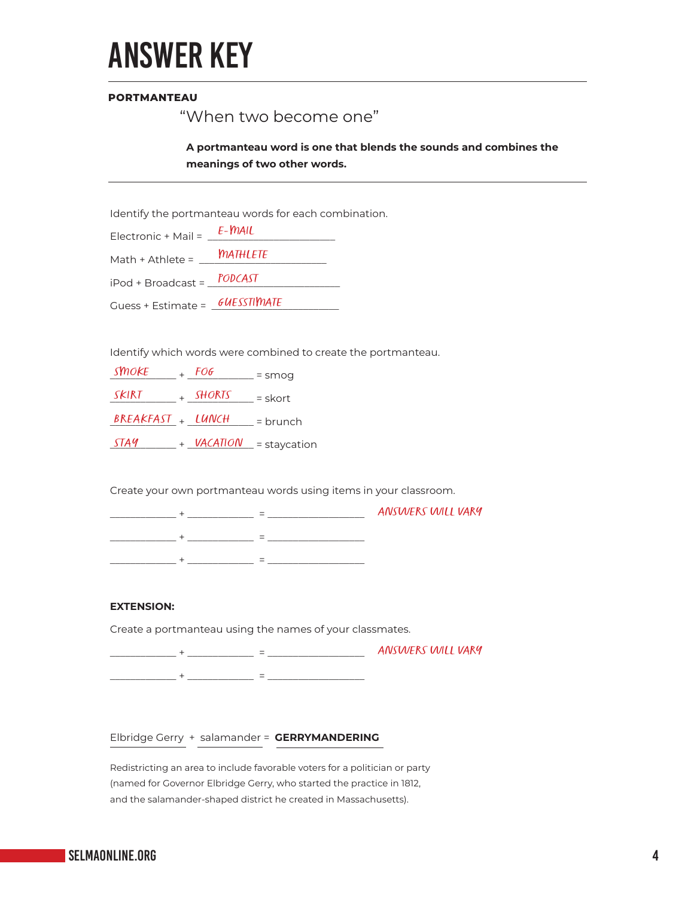

#### **PORTMANTEAU**

#### "When two become one"

**A portmanteau word is one that blends the sounds and combines the meanings of two other words.**

Identify the portmanteau words for each combination.

| Electronic + Mail = $\frac{1}{2}$ | $E-MAIL$        |
|-----------------------------------|-----------------|
| Math + Athlete =                  | <b>MATHLETE</b> |
| iPod + Broadcast = PODCAST        |                 |
|                                   |                 |

Identify which words were combined to create the portmanteau.

| <b>SMOKE</b>      | FOG             | $=$ smog       |
|-------------------|-----------------|----------------|
| SKIRT             | SHORTS          | $=$ skort      |
| BREAKFAST + LUNCH |                 | $=$ brunch     |
| <i>STA9</i>       | <b>VACATION</b> | $=$ staycation |

Create your own portmanteau words using items in your classroom.

|  |  | <b>ANSWERS WILL VARY</b> |
|--|--|--------------------------|
|  |  |                          |
|  |  |                          |

#### **EXTENSION:**

Create a portmanteau using the names of your classmates.

\_\_\_\_\_\_\_\_\_\_\_\_\_ + \_\_\_\_\_\_\_\_\_\_\_\_\_ = \_\_\_\_\_\_\_\_\_\_\_\_\_\_\_\_\_\_\_ ANSWERS WILL VARY\_\_\_\_\_\_\_\_\_\_\_\_\_ + \_\_\_\_\_\_\_\_\_\_\_\_\_ = \_\_\_\_\_\_\_\_\_\_\_\_\_\_\_\_\_\_\_

Elbridge Gerry + salamander = **GERRYMANDERING**

Redistricting an area to include favorable voters for a politician or party (named for Governor Elbridge Gerry, who started the practice in 1812, and the salamander-shaped district he created in Massachusetts).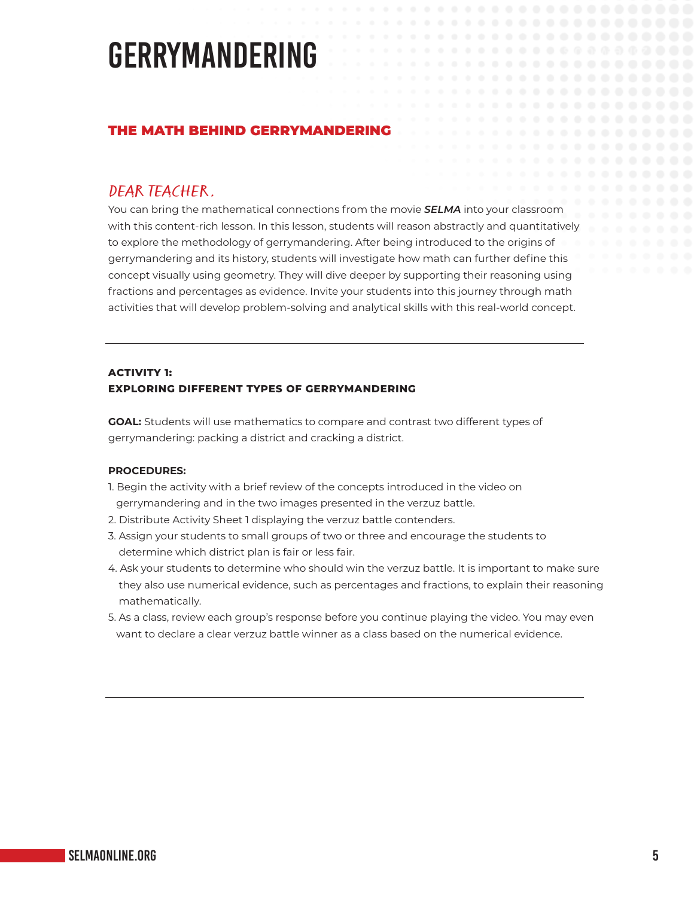### GERRYMANDERING

#### THE MATH BEHIND GERRYMANDERING

DEAR TEACHER, You can bring the mathematical connections from the movie *SELMA* into your classroom with this content-rich lesson. In this lesson, students will reason abstractly and quantitatively to explore the methodology of gerrymandering. After being introduced to the origins of gerrymandering and its history, students will investigate how math can further define this concept visually using geometry. They will dive deeper by supporting their reasoning using fractions and percentages as evidence. Invite your students into this journey through math activities that will develop problem-solving and analytical skills with this real-world concept.

#### **ACTIVITY 1: EXPLORING DIFFERENT TYPES OF GERRYMANDERING**

**GOAL:** Students will use mathematics to compare and contrast two different types of gerrymandering: packing a district and cracking a district.

#### **PROCEDURES:**

- 1. Begin the activity with a brief review of the concepts introduced in the video on gerrymandering and in the two images presented in the verzuz battle.
- 2. Distribute Activity Sheet 1 displaying the verzuz battle contenders.
- 3. Assign your students to small groups of two or three and encourage the students to determine which district plan is fair or less fair.
- 4. Ask your students to determine who should win the verzuz battle. It is important to make sure they also use numerical evidence, such as percentages and fractions, to explain their reasoning mathematically.
- 5. As a class, review each group's response before you continue playing the video. You may even want to declare a clear verzuz battle winner as a class based on the numerical evidence.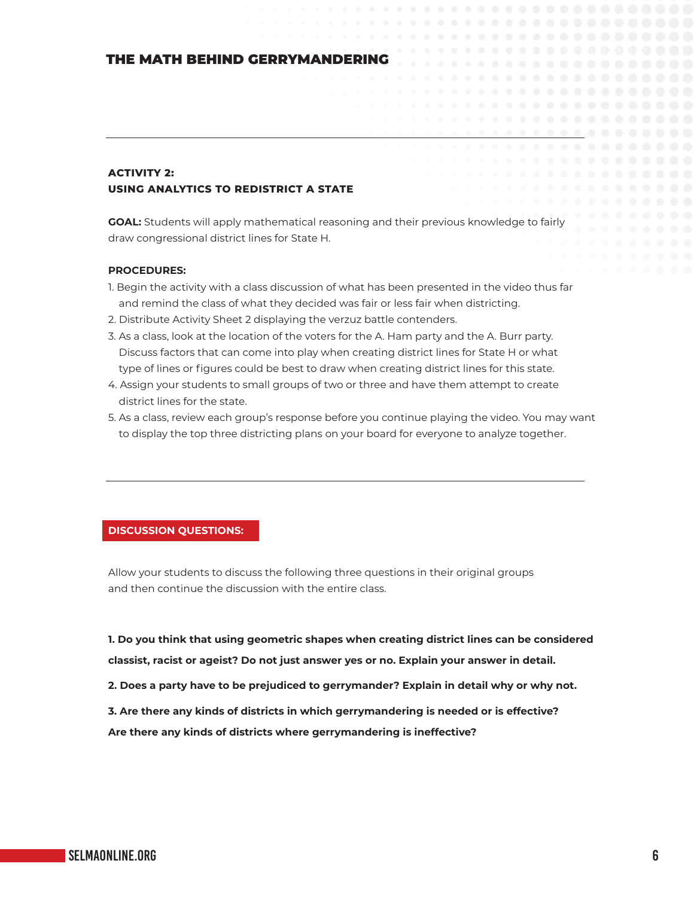#### THE MATH BEHIND GERRYMANDERING

#### **ACTIVITY 2: USING ANALYTICS TO REDISTRICT A STATE**

**GOAL:** Students will apply mathematical reasoning and their previous knowledge to fairly draw congressional district lines for State H.

#### **PROCEDURES:**

- 1. Begin the activity with a class discussion of what has been presented in the video thus far and remind the class of what they decided was fair or less fair when districting.
- 2. Distribute Activity Sheet 2 displaying the verzuz battle contenders.
- 3. As a class, look at the location of the voters for the A. Ham party and the A. Burr party. Discuss factors that can come into play when creating district lines for State H or what type of lines or figures could be best to draw when creating district lines for this state.
- 4. Assign your students to small groups of two or three and have them attempt to create district lines for the state.
- 5. As a class, review each group's response before you continue playing the video. You may want to display the top three districting plans on your board for everyone to analyze together.

#### **DISCUSSION QUESTIONS:**

Allow your students to discuss the following three questions in their original groups and then continue the discussion with the entire class.

**1. Do you think that using geometric shapes when creating district lines can be considered classist, racist or ageist? Do not just answer yes or no. Explain your answer in detail.**

**2. Does a party have to be prejudiced to gerrymander? Explain in detail why or why not.**

**3. Are there any kinds of districts in which gerrymandering is needed or is effective?**

**Are there any kinds of districts where gerrymandering is ineffective?**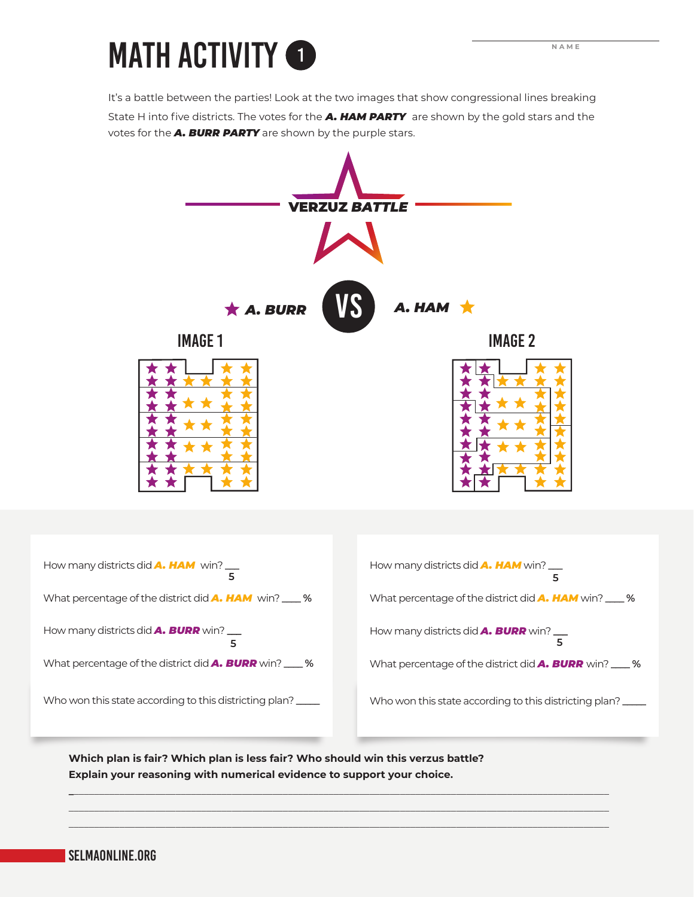# MATH ACTIVITY **1**

It's a battle between the parties! Look at the two images that show congressional lines breaking State H into five districts. The votes for the *A. HAM PARTY* are shown by the gold stars and the votes for the *A. BURR PARTY* are shown by the purple stars.



**Which plan is fair? Which plan is less fair? Who should win this verzus battle? Explain your reasoning with numerical evidence to support your choice.**

**\_**\_\_\_\_\_\_\_\_\_\_\_\_\_\_\_\_\_\_\_\_\_\_\_\_\_\_\_\_\_\_\_\_\_\_\_\_\_\_\_\_\_\_\_\_\_\_\_\_\_\_\_\_\_\_\_\_\_\_\_\_\_\_\_\_\_\_\_\_\_\_\_\_\_\_\_\_\_\_\_\_\_\_\_\_\_\_\_\_\_\_\_\_\_\_\_\_\_\_\_\_\_\_\_\_\_ \_\_\_\_\_\_\_\_\_\_\_\_\_\_\_\_\_\_\_\_\_\_\_\_\_\_\_\_\_\_\_\_\_\_\_\_\_\_\_\_\_\_\_\_\_\_\_\_\_\_\_\_\_\_\_\_\_\_\_\_\_\_\_\_\_\_\_\_\_\_\_\_\_\_\_\_\_\_\_\_\_\_\_\_\_\_\_\_\_\_\_\_\_\_\_\_\_\_\_\_\_\_\_\_\_\_ \_\_\_\_\_\_\_\_\_\_\_\_\_\_\_\_\_\_\_\_\_\_\_\_\_\_\_\_\_\_\_\_\_\_\_\_\_\_\_\_\_\_\_\_\_\_\_\_\_\_\_\_\_\_\_\_\_\_\_\_\_\_\_\_\_\_\_\_\_\_\_\_\_\_\_\_\_\_\_\_\_\_\_\_\_\_\_\_\_\_\_\_\_\_\_\_\_\_\_\_\_\_\_\_\_\_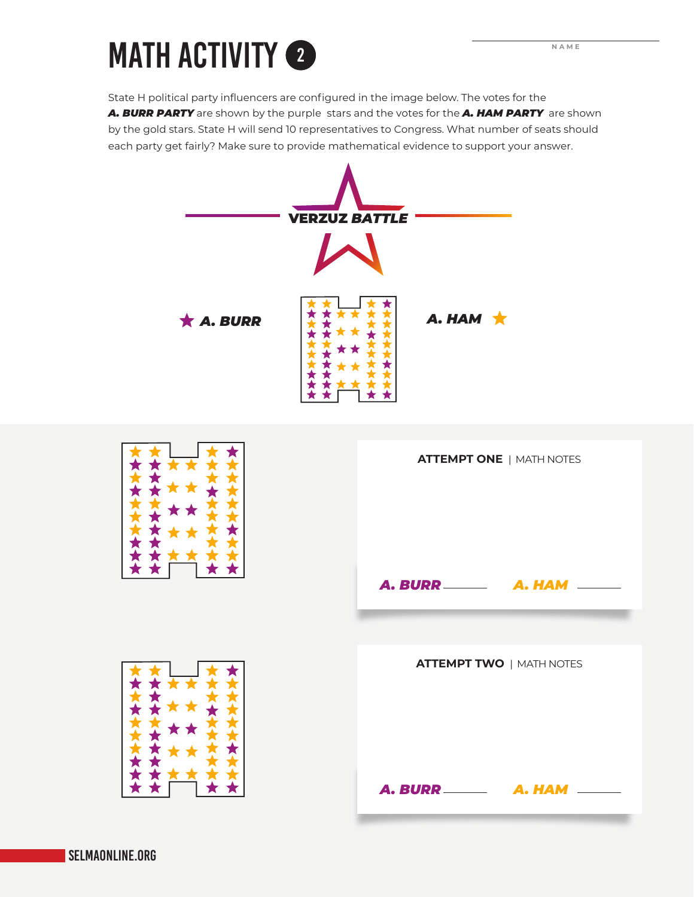### MATH ACTIVITY <sup>2</sup> **NAME** 2

State H political party influencers are configured in the image below. The votes for the *A. BURR PARTY* are shown by the purple stars and the votes for the *A. HAM PARTY* are shown by the gold stars. State H will send 10 representatives to Congress. What number of seats should each party get fairly? Make sure to provide mathematical evidence to support your answer.

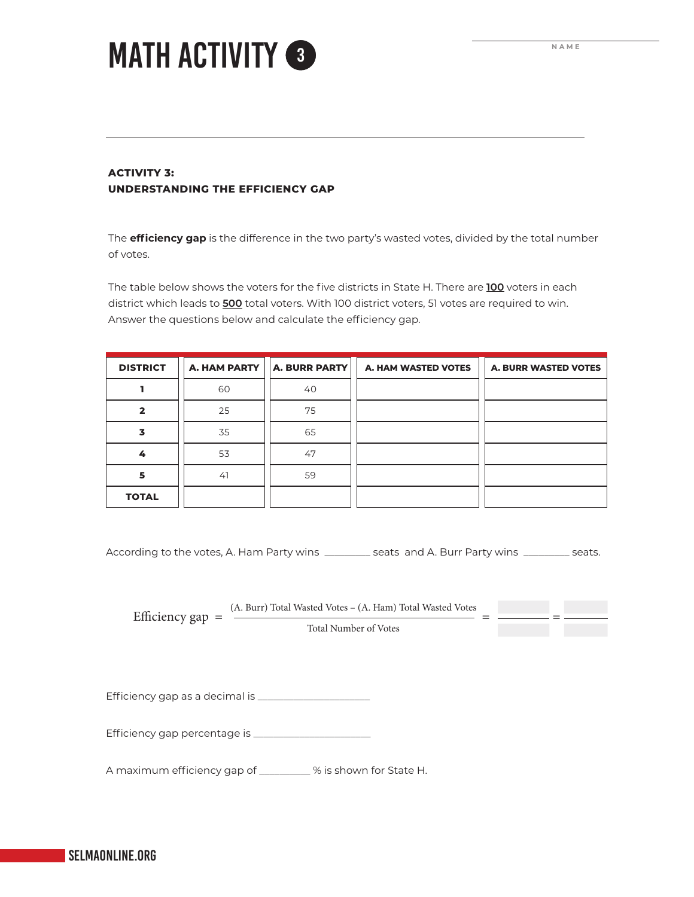**NAME**

 $=$   $\frac{1}{2}$ 

### MATH ACTIVITY <sup>3</sup>

#### **ACTIVITY 3: UNDERSTANDING THE EFFICIENCY GAP**

The **efficiency gap** is the difference in the two party's wasted votes, divided by the total number of votes.

The table below shows the voters for the five districts in State H. There are **100** voters in each district which leads to **500** total voters. With 100 district voters, 51 votes are required to win. Answer the questions below and calculate the efficiency gap.

| <b>DISTRICT</b> | A. HAM PARTY | <b>A. BURR PARTY</b> | A. HAM WASTED VOTES | <b>A. BURR WASTED VOTES</b> |
|-----------------|--------------|----------------------|---------------------|-----------------------------|
|                 | 60           | 40                   |                     |                             |
| $\mathbf{z}$    | 25           | 75                   |                     |                             |
| 3               | 35           | 65                   |                     |                             |
| 4               | 53           | 47                   |                     |                             |
| 5               | 41           | 59                   |                     |                             |
| <b>TOTAL</b>    |              |                      |                     |                             |

According to the votes, A. Ham Party wins \_\_\_\_\_\_\_\_\_ seats and A. Burr Party wins \_\_\_\_\_\_\_\_\_ seats.

Efficiency  $gap = \frac{(A. \text{Burn}) \text{Total Wasted Votes} - (A. \text{Ham}) \text{Total Wasted Votes}}{1 - 1}$ 

Total Number of Votes

Efficiency gap as a decimal is \_\_\_\_\_\_\_\_\_\_\_\_\_\_\_\_\_\_\_\_\_\_

Efficiency gap percentage is \_\_\_\_\_\_\_\_\_\_\_\_\_\_\_\_\_\_\_\_\_\_\_

A maximum efficiency gap of \_\_\_\_\_\_\_\_\_\_ % is shown for State H.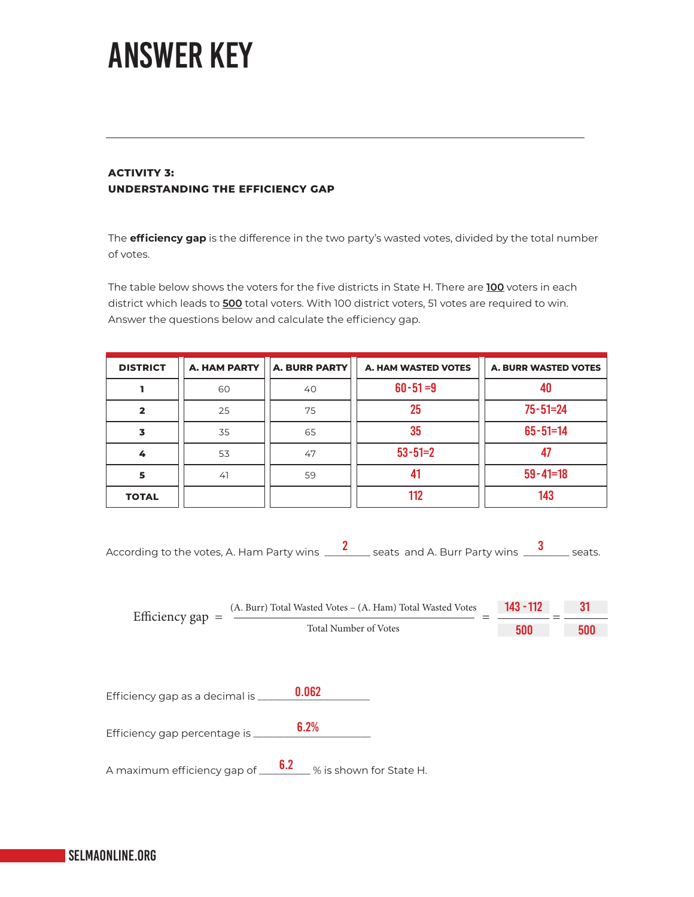### ANSWER KEY

#### **ACTIVITY 3: UNDERSTANDING THE EFFICIENCY GAP**

The **efficiency gap** is the difference in the two party's wasted votes, divided by the total number of votes.

The table below shows the voters for the five districts in State H. There are **100** voters in each district which leads to **500** total voters. With 100 district voters, 51 votes are required to win. Answer the questions below and calculate the efficiency gap.

| <b>DISTRICT</b> | <b>A. HAM PARTY</b> | <b>A. BURR PARTY</b> | A. HAM WASTED VOTES | <b>A. BURR WASTED VOTES</b> |
|-----------------|---------------------|----------------------|---------------------|-----------------------------|
|                 | 60                  | 40                   | $60 - 51 = 9$       |                             |
| 2               | 25                  | 75                   | 25                  | $75 - 51 = 24$              |
| 3               | 35                  | 65                   | 35                  | $65 - 51 = 14$              |
| 4               | 53                  | 47                   | $53 - 51 = 2$       |                             |
| 5               | 41                  | 59                   | 41                  | $59 - 41 = 18$              |
| <b>TOTAL</b>    |                     |                      | 112                 | 143                         |

| According to the votes, A. Ham Party wins _ | _seats and A. Burr Party wins _<br>seats. |  |
|---------------------------------------------|-------------------------------------------|--|
|---------------------------------------------|-------------------------------------------|--|

| Efficiency gap $=$ | (A. Burr) Total Wasted Votes – (A. Ham) Total Wasted Votes | $143 - 112$ |     |
|--------------------|------------------------------------------------------------|-------------|-----|
|                    | Total Number of Votes                                      | 500         | 500 |

| Efficiency gap as a decimal is | <b>0.062</b> |
|--------------------------------|--------------|
|                                |              |

6.2% Efficiency gap percentage is \_\_\_\_\_\_

A maximum efficiency gap of  $\begin{array}{l} \textbf{\textcolor{blue}{6.2}} \\ \textbf{\textcolor{blue}{6.8}} \\ \textbf{\textcolor{blue}{6.8}} \\ \textbf{\textcolor{blue}{6.8}} \\ \textbf{\textcolor{blue}{6.9}} \\ \textbf{\textcolor{blue}{6.9}} \\ \textbf{\textcolor{blue}{6.9}} \\ \textbf{\textcolor{blue}{6.9}} \\ \textbf{\textcolor{blue}{6.9}} \\ \textbf{\textcolor{blue}{6.9}} \\ \textbf{\textcolor{blue}{6.9}} \\ \textbf{\textcolor{blue}{6.9}} \\ \textbf{\textcolor{blue}{6.9}} \\ \textbf$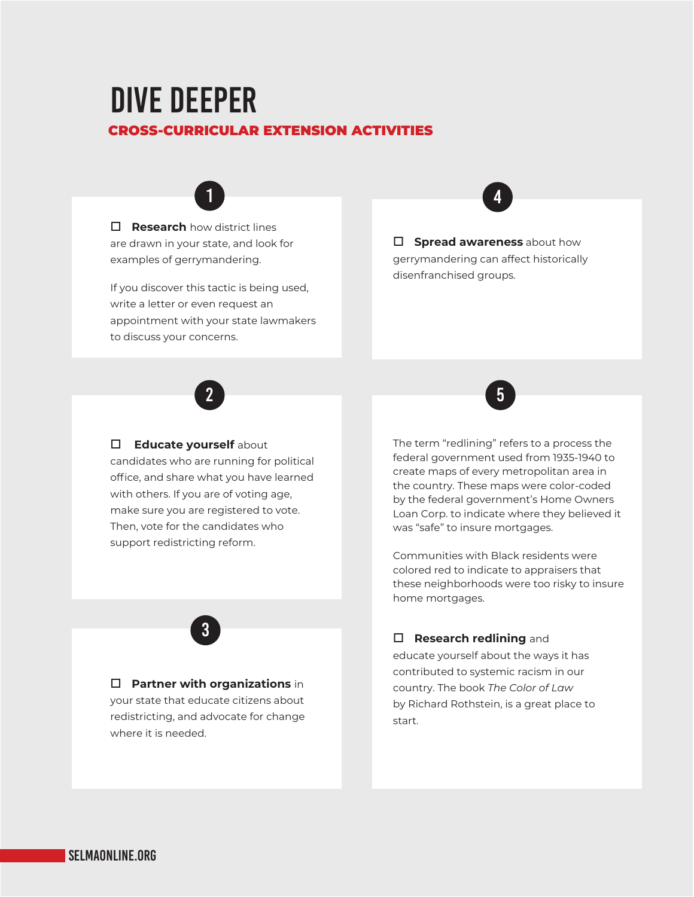### DIVE DEEPER CROSS-CURRICULAR EXTENSION ACTIVITIES



 $\Box$  **Research** how district lines are drawn in your state, and look for examples of gerrymandering.

If you discover this tactic is being used, write a letter or even request an appointment with your state lawmakers to discuss your concerns.

### 4

 $\Box$  **Spread awareness** about how gerrymandering can affect historically disenfranchised groups.



#### $\Box$  **Educate yourself** about

candidates who are running for political office, and share what you have learned with others. If you are of voting age, make sure you are registered to vote. Then, vote for the candidates who support redistricting reform.



#### **D** Partner with organizations in

your state that educate citizens about redistricting, and advocate for change where it is needed.



The term "redlining" refers to a process the federal government used from 1935-1940 to create maps of every metropolitan area in the country. These maps were color-coded by the federal government's Home Owners Loan Corp. to indicate where they believed it was "safe" to insure mortgages.

Communities with Black residents were colored red to indicate to appraisers that these neighborhoods were too risky to insure home mortgages.

#### $\Box$  **Research redlining** and

educate yourself about the ways it has contributed to systemic racism in our country. The book *The Color of Law* by Richard Rothstein, is a great place to start.